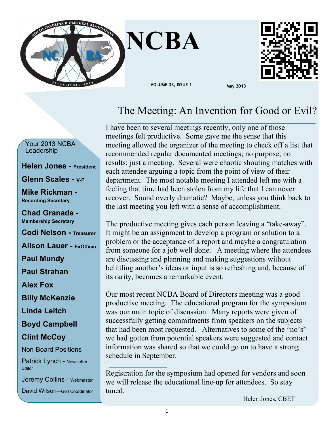



## The Meeting: An Invention for Good or Evil?

Your 2013 NCBA Leadership

#### **Helen Jones - President**

#### **Glenn Scales - V-P**

**Mike Rickman - Recording Secretary**

**Chad Granade - Membership Secretary**

**Codi Nelson - Treasurer**

**Alison Lauer - ExOfficio**

**Paul Mundy**

**Paul Strahan**

**Alex Fox**

**Billy McKenzie**

**Linda Leitch**

**Boyd Campbell**

### **Clint McCoy**

Non-Board Positions

Patrick Lynch - Newsletter Editor

Jeremy Collins - Webmaster

David Wilson—Golf Coordinator

I have been to several meetings recently, only one of those meetings felt productive. Some gave me the sense that this meeting allowed the organizer of the meeting to check off a list that recommended regular documented meetings; no purpose; no results; just a meeting. Several were chaotic shouting matches with each attendee arguing a topic from the point of view of their department. The most notable meeting I attended left me with a feeling that time had been stolen from my life that I can never recover. Sound overly dramatic? Maybe, unless you think back to the last meeting you left with a sense of accomplishment.

The productive meeting gives each person leaving a "take-away". It might be an assignment to develop a program or solution to a problem or the acceptance of a report and maybe a congratulation from someone for a job well done. A meeting where the attendees are discussing and planning and making suggestions without belittling another's ideas or input is so refreshing and, because of its rarity, becomes a remarkable event.

Our most recent NCBA Board of Directors meeting was a good productive meeting. The educational program for the symposium was our main topic of discussion. Many reports were given of successfully getting commitments from speakers on the subjects that had been most requested. Alternatives to some of the "no's" we had gotten from potential speakers were suggested and contact information was shared so that we could go on to have a strong schedule in September.

Registration for the symposium had opened for vendors and soon we will release the educational line-up for attendees. So stay tuned.

Helen Jones, CBET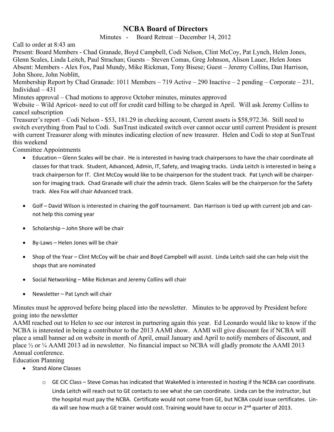## **NCBA Board of Directors**

Minutes - Board Retreat – December 14, 2012

Call to order at 8:43 am

Present: Board Members - Chad Granade, Boyd Campbell, Codi Nelson, Clint McCoy, Pat Lynch, Helen Jones, Glenn Scales, Linda Leitch, Paul Strachan; Guests – Steven Comas, Greg Johnson, Alison Lauer, Helen Jones Absent: Members - Alex Fox, Paul Mundy, Mike Rickman, Tony Bisese; Guest – Jeremy Collins, Dan Harrison, John Shore, John Noblitt,

Membership Report by Chad Granade: 1011 Members – 719 Active – 290 Inactive – 2 pending – Corporate – 231, Individual – 431

Minutes approval – Chad motions to approve October minutes, minutes approved

Website – Wild Apricot- need to cut off for credit card billing to be charged in April. Will ask Jeremy Collins to cancel subscription

Treasurer's report – Codi Nelson - \$53, 181.29 in checking account, Current assets is \$58,972.36. Still need to switch everything from Paul to Codi. SunTrust indicated switch over cannot occur until current President is present with current Treasurer along with minutes indicating election of new treasurer. Helen and Codi to stop at SunTrust this weekend

Committee Appointments

- · Education Glenn Scales will be chair. He is interested in having track chairpersons to have the chair coordinate all classes for that track. Student, Advanced, Admin, IT, Safety, and Imaging tracks. Linda Leitch is interested in being a track chairperson for IT. Clint McCoy would like to be chairperson for the student track. Pat Lynch will be chairperson for imaging track. Chad Granade will chair the admin track. Glenn Scales will be the chairperson for the Safety track. Alex Fox will chair Advanced track.
- · Golf David Wilson is interested in chairing the golf tournament. Dan Harrison is tied up with current job and cannot help this coming year
- · Scholarship John Shore will be chair
- · By-Laws Helen Jones will be chair
- · Shop of the Year Clint McCoy will be chair and Boyd Campbell will assist. Linda Leitch said she can help visit the shops that are nominated
- · Social Networking Mike Rickman and Jeremy Collins will chair
- · Newsletter Pat Lynch will chair

Minutes must be approved before being placed into the newsletter. Minutes to be approved by President before going into the newsletter

AAMI reached out to Helen to see our interest in partnering again this year. Ed Leonardo would like to know if the NCBA is interested in being a contributor to the 2013 AAMI show. AAMI will give discount fee if NCBA will place a small banner ad on website in month of April, email January and April to notify members of discount, and place ½ or ¼ AAMI 2013 ad in newsletter. No financial impact so NCBA will gladly promote the AAMI 2013 Annual conference.

Education Planning

- · Stand Alone Classes
	- $\circ$  GE CIC Class Steve Comas has indicated that WakeMed is interested in hosting if the NCBA can coordinate. Linda Leitch will reach out to GE contacts to see what she can coordinate. Linda can be the instructor, but the hospital must pay the NCBA. Certificate would not come from GE, but NCBA could issue certificates. Linda will see how much a GE trainer would cost. Training would have to occur in 2<sup>nd</sup> quarter of 2013.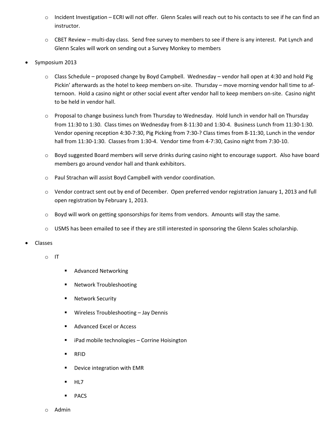- o Incident Investigation ECRI will not offer. Glenn Scales will reach out to his contacts to see if he can find an instructor.
- $\circ$  CBET Review multi-day class. Send free survey to members to see if there is any interest. Pat Lynch and Glenn Scales will work on sending out a Survey Monkey to members
- Symposium 2013
	- o Class Schedule proposed change by Boyd Campbell. Wednesday vendor hall open at 4:30 and hold Pig Pickin' afterwards as the hotel to keep members on-site. Thursday – move morning vendor hall time to afternoon. Hold a casino night or other social event after vendor hall to keep members on-site. Casino night to be held in vendor hall.
	- o Proposal to change business lunch from Thursday to Wednesday. Hold lunch in vendor hall on Thursday from 11:30 to 1:30. Class times on Wednesday from 8-11:30 and 1:30-4. Business Lunch from 11:30-1:30. Vendor opening reception 4:30-7:30, Pig Picking from 7:30-? Class times from 8-11:30, Lunch in the vendor hall from 11:30-1:30. Classes from 1:30-4. Vendor time from 4-7:30, Casino night from 7:30-10.
	- o Boyd suggested Board members will serve drinks during casino night to encourage support. Also have board members go around vendor hall and thank exhibitors.
	- o Paul Strachan will assist Boyd Campbell with vendor coordination.
	- o Vendor contract sent out by end of December. Open preferred vendor registration January 1, 2013 and full open registration by February 1, 2013.
	- $\circ$  Boyd will work on getting sponsorships for items from vendors. Amounts will stay the same.
	- $\circ$  USMS has been emailed to see if they are still interested in sponsoring the Glenn Scales scholarship.
- · Classes
	- o IT
- ß Advanced Networking
- ß Network Troubleshooting
- Network Security
- ß Wireless Troubleshooting Jay Dennis
- **Advanced Excel or Access**
- iPad mobile technologies Corrine Hoisington
- ß RFID
- ß Device integration with EMR
- ß HL7
- PACS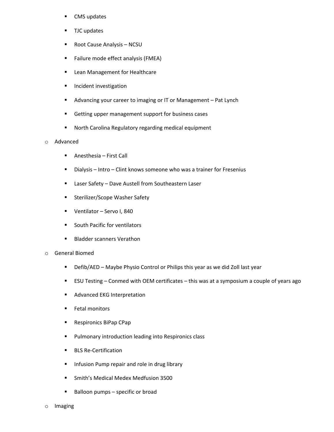- ß CMS updates
- TJC updates
- ß Root Cause Analysis NCSU
- **Failure mode effect analysis (FMEA)**
- **EXEC** Lean Management for Healthcare
- **Incident investigation**
- ß Advancing your career to imaging or IT or Management Pat Lynch
- ß Getting upper management support for business cases
- **B** North Carolina Regulatory regarding medical equipment

#### o Advanced

- Anesthesia First Call
- ß Dialysis Intro Clint knows someone who was a trainer for Fresenius
- Laser Safety Dave Austell from Southeastern Laser
- **EXECOPE Washer Safety**
- **UREB Ventilator Servo I, 840**
- **South Pacific for ventilators**
- Bladder scanners Verathon
- o General Biomed
	- **•** Defib/AED Maybe Physio Control or Philips this year as we did Zoll last year
	- **EXU Testing Conmed with OEM certificates this was at a symposium a couple of years ago**
	- ß Advanced EKG Interpretation
	- Fetal monitors
	- **Respironics BiPap CPap**
	- **•** Pulmonary introduction leading into Respironics class
	- ß BLS Re-Certification
	- **F** Infusion Pump repair and role in drug library
	- **Smith's Medical Medex Medfusion 3500**
	- $\blacksquare$  Balloon pumps specific or broad
- o Imaging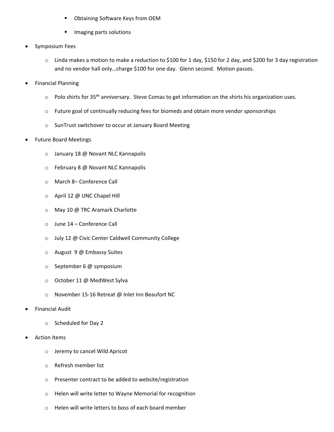- ß Obtaining Software Keys from OEM
- ß Imaging parts solutions
- · Symposium Fees
	- o Linda makes a motion to make a reduction to \$100 for 1 day, \$150 for 2 day, and \$200 for 3 day registration and no vendor hall only…charge \$100 for one day. Glenn second. Motion passes.
- · Financial Planning
	- o Polo shirts for 35<sup>th</sup> anniversary. Steve Comas to get information on the shirts his organization uses.
	- $\circ$  Future goal of continually reducing fees for biomeds and obtain more vendor sponsorships
	- o SunTrust switchover to occur at January Board Meeting
- Future Board Meetings
	- o January 18 @ Novant NLC Kannapolis
	- o February 8 @ Novant NLC Kannapolis
	- o March 8– Conference Call
	- o April 12 @ UNC Chapel Hill
	- o May 10 @ TRC Aramark Charlotte
	- o June 14 Conference Call
	- o July 12 @ Civic Center Caldwell Community College
	- o August 9 @ Embassy Suites
	- o September 6 @ symposium
	- o October 11 @ MedWest Sylva
	- o November 15-16 Retreat @ Inlet Inn Beaufort NC
- **Financial Audit** 
	- o Scheduled for Day 2
- **Action Items** 
	- o Jeremy to cancel Wild Apricot
	- o Refresh member list
	- o Presenter contract to be added to website/registration
	- o Helen will write letter to Wayne Memorial for recognition
	- o Helen will write letters to boss of each board member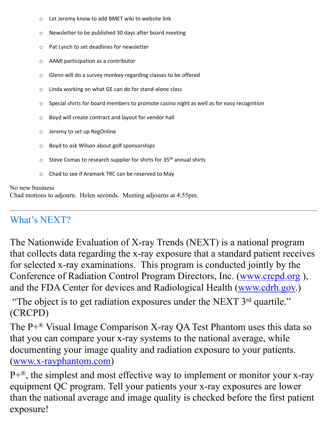- o Let Jeremy know to add BMET wiki to website link
- o Newsletter to be published 30 days after board meeting
- o Pat Lynch to set deadlines for newsletter
- o AAMI participation as a contributor
- o Glenn will do a survey monkey regarding classes to be offered
- o Linda working on what GE can do for stand-alone class
- o Special shirts for board members to promote casino night as well as for easy recognition
- o Boyd will create contract and layout for vendor hall
- o Jeremy to set up RegOnline
- o Boyd to ask Wilson about golf sponsorships
- $\circ$  Steve Comas to research supplier for shirts for 35<sup>th</sup> annual shirts
- Chad to see if Aramark TRC can be reserved to May

### No new business

Chad motions to adjourn. Helen seconds. Meeting adjourns at 4:55pm.

## $\overline{\phantom{a}}$  , and the contract of the contract of the contract of the contract of the contract of the contract of the contract of the contract of the contract of the contract of the contract of the contract of the contrac What's NEXT?

The Nationwide Evaluation of X-ray Trends (NEXT) is a national program that collects data regarding the x-ray exposure that a standard patient receives for selected x-ray examinations. This program is conducted jointly by the Conference of Radiation Control Program Directors, Inc. (www.crcpd.org ), and the FDA Center for devices and Radiological Health (www.cdrh.gov.)

"The object is to get radiation exposures under the NEXT 3<sup>rd</sup> quartile." (CRCPD)

The  $P+^{\otimes}$  Visual Image Comparison X-ray QA Test Phantom uses this data so that you can compare your x-ray systems to the national average, while documenting your image quality and radiation exposure to your patients. (www.x-rayphantom.com)

 $P+<sup>®</sup>$ , the simplest and most effective way to implement or monitor your x-ray equipment QC program. Tell your patients your x-ray exposures are lower than the national average and image quality is checked before the first patient exposure!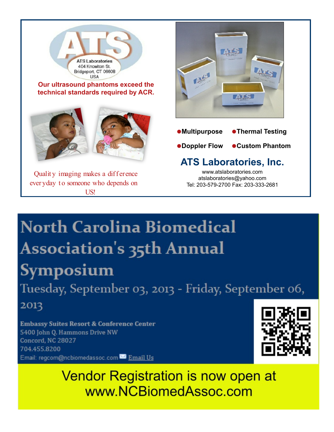

# **North Carolina Biomedical** Association's 35th Annual Symposium

Tuesday, September 03, 2013 - Friday, September 06,

2013

**Embassy Suites Resort & Conference Center** 5400 John Q. Hammons Drive NW Concord, NC 28027 704.455.8200 Email: regcom@ncbiomedassoc.com Banail Us



**Vendor Registration is now open at** www.NCBiomedAssoc.com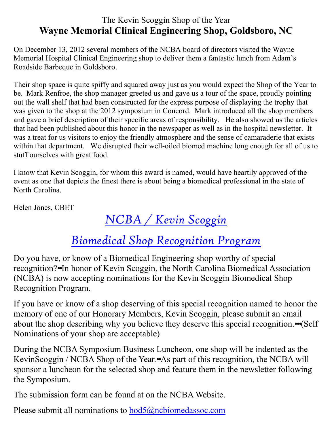## The Kevin Scoggin Shop of the Year **Wayne Memorial Clinical Engineering Shop, Goldsboro, NC**

On December 13, 2012 several members of the NCBA board of directors visited the Wayne Memorial Hospital Clinical Engineering shop to deliver them a fantastic lunch from Adam's Roadside Barbeque in Goldsboro.

Their shop space is quite spiffy and squared away just as you would expect the Shop of the Year to be. Mark Renfroe, the shop manager greeted us and gave us a tour of the space, proudly pointing out the wall shelf that had been constructed for the express purpose of displaying the trophy that was given to the shop at the 2012 symposium in Concord. Mark introduced all the shop members and gave a brief description of their specific areas of responsibility. He also showed us the articles that had been published about this honor in the newspaper as well as in the hospital newsletter. It was a treat for us visitors to enjoy the friendly atmosphere and the sense of camaraderie that exists within that department. We disrupted their well-oiled biomed machine long enough for all of us to stuff ourselves with great food.

I know that Kevin Scoggin, for whom this award is named, would have heartily approved of the event as one that depicts the finest there is about being a biomedical professional in the state of North Carolina.

Helen Jones, CBET

# *NCBA / Kevin Scoggin*

# *Biomedical Shop Recognition Program*

Do you have, or know of a Biomedical Engineering shop worthy of special recognition?••In honor of Kevin Scoggin, the North Carolina Biomedical Association (NCBA) is now accepting nominations for the Kevin Scoggin Biomedical Shop Recognition Program.

If you have or know of a shop deserving of this special recognition named to honor the memory of one of our Honorary Members, Kevin Scoggin, please submit an email about the shop describing why you believe they deserve this special recognition.•••(Self Nominations of your shop are acceptable)

During the NCBA Symposium Business Luncheon, one shop will be indented as the KevinScoggin / NCBA Shop of the Year.••As part of this recognition, the NCBA will sponsor a luncheon for the selected shop and feature them in the newsletter following the Symposium.

The submission form can be found at on the NCBA Website.

Please submit all nominations to bod5@ncbiomedassoc.com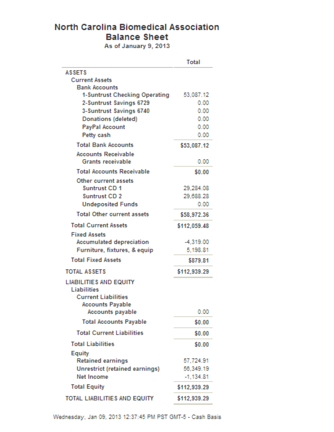## **North Carolina Biomedical Association Balance Sheet**

As of January 9, 2013

|                                                                                                                                         | Total                                 |
|-----------------------------------------------------------------------------------------------------------------------------------------|---------------------------------------|
| <b>ASSETS</b>                                                                                                                           |                                       |
| <b>Current Assets</b>                                                                                                                   |                                       |
| <b>Bank Accounts</b>                                                                                                                    |                                       |
| 1-Suntrust Checking Operating                                                                                                           | 53,087.12                             |
| 2-Suntrust Savings 6729                                                                                                                 | 0.00<br>0.00                          |
| 3-Suntrust Savings 6740<br>Donations (deleted)                                                                                          | 0.00                                  |
| <b>PayPal Account</b>                                                                                                                   | 0.00                                  |
| Petty cash                                                                                                                              | 0.00                                  |
| <b>Total Bank Accounts</b>                                                                                                              |                                       |
| <b>Accounts Receivable</b>                                                                                                              | \$53,087.12                           |
| <b>Grants receivable</b>                                                                                                                | 0.00                                  |
| <b>Total Accounts Receivable</b>                                                                                                        | \$0.00                                |
| Other current assets<br>Suntrust CD 1                                                                                                   | 29.284.08                             |
| Suntrust CD 2                                                                                                                           | 29.688.28                             |
| <b>Undeposited Funds</b>                                                                                                                | 0.00                                  |
| <b>Total Other current assets</b>                                                                                                       | \$58,972.36                           |
| <b>Total Current Assets</b>                                                                                                             | \$112.059.48                          |
| <b>Fixed Assets</b>                                                                                                                     |                                       |
| <b>Accumulated depreciation</b>                                                                                                         | $-4.319.00$                           |
| Furniture, fixtures, & equip                                                                                                            | 5.198.81                              |
| <b>Total Fixed Assets</b>                                                                                                               | \$879.81                              |
| <b>TOTAL ASSETS</b>                                                                                                                     | \$112,939.29                          |
| <b>LIABILITIES AND EQUITY</b><br><b>Liabilities</b><br><b>Current Liabilities</b><br><b>Accounts Payable</b><br><b>Accounts payable</b> | 0.00                                  |
| <b>Total Accounts Payable</b>                                                                                                           | \$0.00                                |
| <b>Total Current Liabilities</b>                                                                                                        | \$0.00                                |
| <b>Total Liabilities</b>                                                                                                                | \$0.00                                |
| Equity<br><b>Retained earnings</b><br><b>Unrestrict (retained earnings)</b><br><b>Net Income</b>                                        | 57.724.91<br>56.349.19<br>$-1.134.81$ |
| <b>Total Equity</b>                                                                                                                     | \$112,939.29                          |
| TOTAL LIABILITIES AND EQUITY                                                                                                            | \$112,939.29                          |
|                                                                                                                                         |                                       |

Wednesday, Jan 09, 2013 12:37:45 PM PST GMT-5 - Cash Basis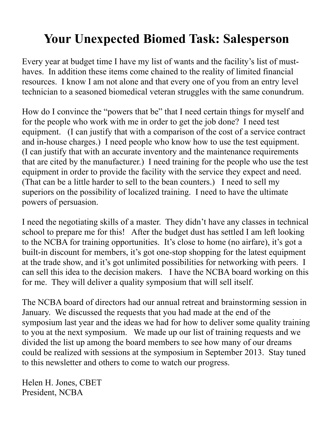# **Your Unexpected Biomed Task: Salesperson**

Every year at budget time I have my list of wants and the facility's list of musthaves. In addition these items come chained to the reality of limited financial resources. I know I am not alone and that every one of you from an entry level technician to a seasoned biomedical veteran struggles with the same conundrum.

How do I convince the "powers that be" that I need certain things for myself and for the people who work with me in order to get the job done? I need test equipment. (I can justify that with a comparison of the cost of a service contract and in-house charges.) I need people who know how to use the test equipment. (I can justify that with an accurate inventory and the maintenance requirements that are cited by the manufacturer.) I need training for the people who use the test equipment in order to provide the facility with the service they expect and need. (That can be a little harder to sell to the bean counters.) I need to sell my superiors on the possibility of localized training. I need to have the ultimate powers of persuasion.

I need the negotiating skills of a master. They didn't have any classes in technical school to prepare me for this! After the budget dust has settled I am left looking to the NCBA for training opportunities. It's close to home (no airfare), it's got a built-in discount for members, it's got one-stop shopping for the latest equipment at the trade show, and it's got unlimited possibilities for networking with peers. I can sell this idea to the decision makers. I have the NCBA board working on this for me. They will deliver a quality symposium that will sell itself.

The NCBA board of directors had our annual retreat and brainstorming session in January. We discussed the requests that you had made at the end of the symposium last year and the ideas we had for how to deliver some quality training to you at the next symposium. We made up our list of training requests and we divided the list up among the board members to see how many of our dreams could be realized with sessions at the symposium in September 2013. Stay tuned to this newsletter and others to come to watch our progress.

Helen H. Jones, CBET President, NCBA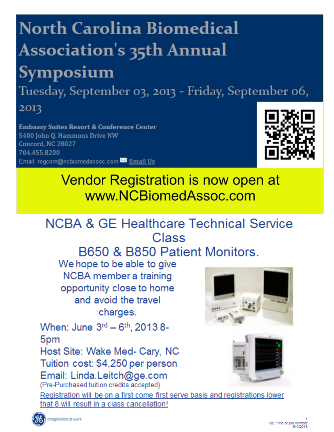# **North Carolina Biomedical Association's 35th Annual** Symposium

Tuesday, September 03, 2013 - Friday, September 06,

2013

**Embassy Suites Resort & Conference Center** 5400 John Q. Hammons Drive NW Concord, NC 28027 704.455.8200 Email: regcom@ncbiomedassoc.com<sup>N2</sup> Email Us



Vendor Registration is now open at www.NCBiomedAssoc.com

# **NCBA & GE Healthcare Technical Service** Class

B650 & B850 Patient Monitors.

We hope to be able to give NCBA member a training opportunity close to home and avoid the travel charges.

When: June 3rd - 6th, 2013 8-5<sub>pm</sub>

Host Site: Wake Med- Cary, NC Tuition cost: \$4,250 per person Email: Linda.Leitch@ge.com (Pre-Purchased tuition credits accepted)





Registration will be on a first come first serve basis and registrations lower that 8 will result in a class cancellation!